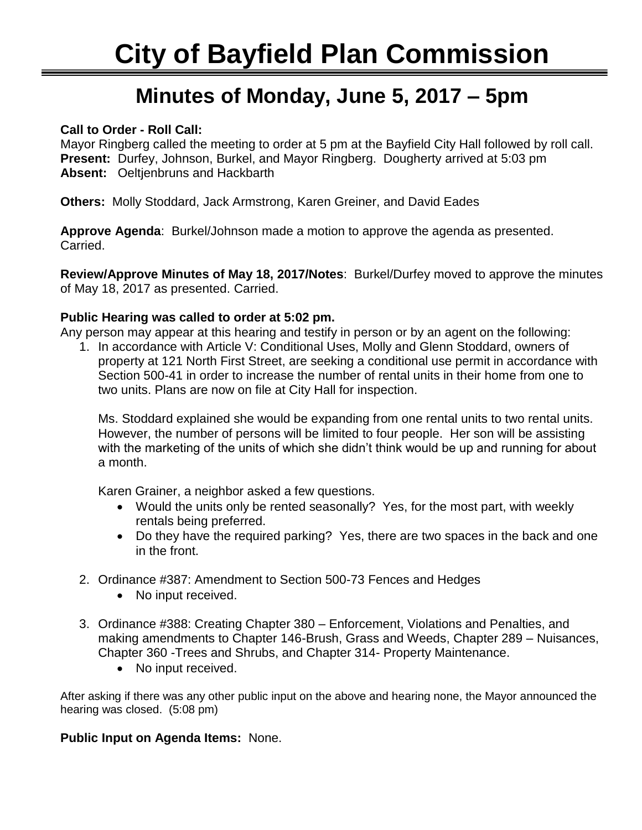# Ī **Minutes of Monday, June 5, 2017 – 5pm**

### **Call to Order - Roll Call:**

Mayor Ringberg called the meeting to order at 5 pm at the Bayfield City Hall followed by roll call. **Present:** Durfey, Johnson, Burkel, and Mayor Ringberg. Dougherty arrived at 5:03 pm **Absent:** Oeltjenbruns and Hackbarth

**Others:** Molly Stoddard, Jack Armstrong, Karen Greiner, and David Eades

**Approve Agenda**: Burkel/Johnson made a motion to approve the agenda as presented. Carried.

**Review/Approve Minutes of May 18, 2017/Notes**: Burkel/Durfey moved to approve the minutes of May 18, 2017 as presented. Carried.

### **Public Hearing was called to order at 5:02 pm.**

Any person may appear at this hearing and testify in person or by an agent on the following:

1. In accordance with Article V: Conditional Uses, Molly and Glenn Stoddard, owners of property at 121 North First Street, are seeking a conditional use permit in accordance with Section 500-41 in order to increase the number of rental units in their home from one to two units. Plans are now on file at City Hall for inspection.

Ms. Stoddard explained she would be expanding from one rental units to two rental units. However, the number of persons will be limited to four people. Her son will be assisting with the marketing of the units of which she didn't think would be up and running for about a month.

Karen Grainer, a neighbor asked a few questions.

- Would the units only be rented seasonally? Yes, for the most part, with weekly rentals being preferred.
- Do they have the required parking? Yes, there are two spaces in the back and one in the front.
- 2. Ordinance #387: Amendment to Section 500-73 Fences and Hedges
	- No input received.
- 3. Ordinance #388: Creating Chapter 380 Enforcement, Violations and Penalties, and making amendments to Chapter 146-Brush, Grass and Weeds, Chapter 289 – Nuisances, Chapter 360 -Trees and Shrubs, and Chapter 314- Property Maintenance.
	- No input received.

After asking if there was any other public input on the above and hearing none, the Mayor announced the hearing was closed. (5:08 pm)

### **Public Input on Agenda Items:** None.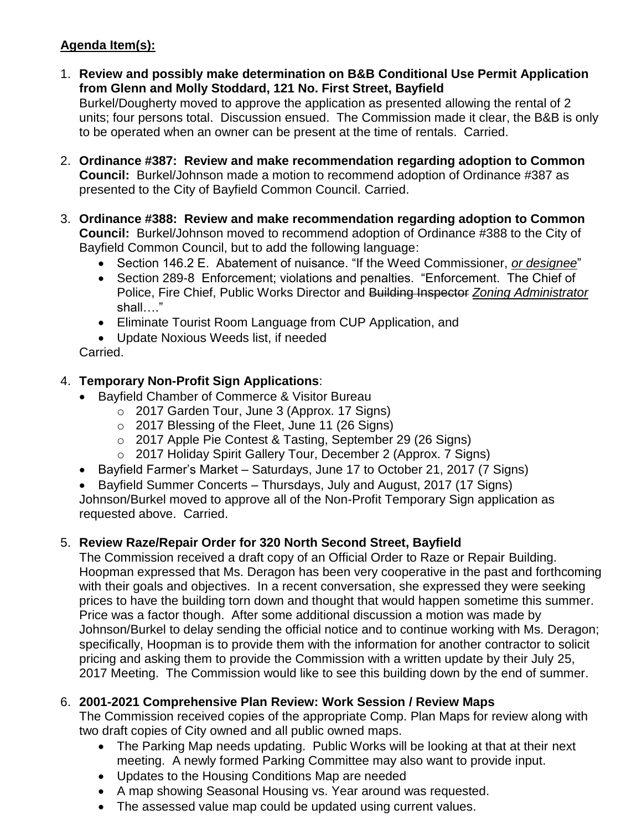## **Agenda Item(s):**

1. **Review and possibly make determination on B&B Conditional Use Permit Application from Glenn and Molly Stoddard, 121 No. First Street, Bayfield**

Burkel/Dougherty moved to approve the application as presented allowing the rental of 2 units; four persons total. Discussion ensued. The Commission made it clear, the B&B is only to be operated when an owner can be present at the time of rentals. Carried.

- 2. **Ordinance #387: Review and make recommendation regarding adoption to Common Council:** Burkel/Johnson made a motion to recommend adoption of Ordinance #387 as presented to the City of Bayfield Common Council. Carried.
- 3. **Ordinance #388: Review and make recommendation regarding adoption to Common Council:** Burkel/Johnson moved to recommend adoption of Ordinance #388 to the City of Bayfield Common Council, but to add the following language:
	- Section 146.2 E. Abatement of nuisance. "If the Weed Commissioner, *or designee*"
	- Section 289-8 Enforcement; violations and penalties. "Enforcement. The Chief of Police, Fire Chief, Public Works Director and Building Inspector *Zoning Administrator* shall…."
	- Eliminate Tourist Room Language from CUP Application, and
	- Update Noxious Weeds list, if needed

Carried.

## 4. **Temporary Non-Profit Sign Applications**:

- Bayfield Chamber of Commerce & Visitor Bureau
	- o 2017 Garden Tour, June 3 (Approx. 17 Signs)
	- o 2017 Blessing of the Fleet, June 11 (26 Signs)
	- o 2017 Apple Pie Contest & Tasting, September 29 (26 Signs)
	- o 2017 Holiday Spirit Gallery Tour, December 2 (Approx. 7 Signs)
- Bayfield Farmer's Market Saturdays, June 17 to October 21, 2017 (7 Signs)
- Bayfield Summer Concerts Thursdays, July and August, 2017 (17 Signs) Johnson/Burkel moved to approve all of the Non-Profit Temporary Sign application as requested above. Carried.

## 5. **Review Raze/Repair Order for 320 North Second Street, Bayfield**

The Commission received a draft copy of an Official Order to Raze or Repair Building. Hoopman expressed that Ms. Deragon has been very cooperative in the past and forthcoming with their goals and objectives. In a recent conversation, she expressed they were seeking prices to have the building torn down and thought that would happen sometime this summer. Price was a factor though. After some additional discussion a motion was made by Johnson/Burkel to delay sending the official notice and to continue working with Ms. Deragon; specifically, Hoopman is to provide them with the information for another contractor to solicit pricing and asking them to provide the Commission with a written update by their July 25, 2017 Meeting. The Commission would like to see this building down by the end of summer.

## 6. **2001-2021 Comprehensive Plan Review: Work Session / Review Maps**

The Commission received copies of the appropriate Comp. Plan Maps for review along with two draft copies of City owned and all public owned maps.

- The Parking Map needs updating. Public Works will be looking at that at their next meeting. A newly formed Parking Committee may also want to provide input.
- Updates to the Housing Conditions Map are needed
- A map showing Seasonal Housing vs. Year around was requested.
- The assessed value map could be updated using current values.